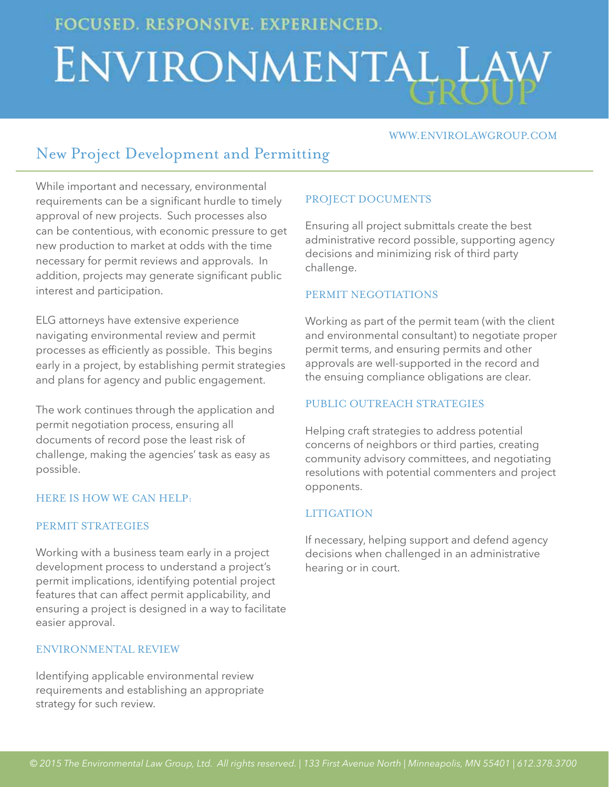**FOCUSED. RESPONSIVE. EXPERIENCED.** 

# ENVIRONMENTAL LAW

#### www.envirolawgroup.com

# New Project Development and Permitting

While important and necessary, environmental requirements can be a significant hurdle to timely approval of new projects. Such processes also can be contentious, with economic pressure to get new production to market at odds with the time necessary for permit reviews and approvals. In addition, projects may generate significant public interest and participation.

ELG attorneys have extensive experience navigating environmental review and permit processes as efficiently as possible. This begins early in a project, by establishing permit strategies and plans for agency and public engagement.

The work continues through the application and permit negotiation process, ensuring all documents of record pose the least risk of challenge, making the agencies' task as easy as possible.

#### Here is how we can help:

#### PERMIT STRATEGIES

Working with a business team early in a project development process to understand a project's permit implications, identifying potential project features that can affect permit applicability, and ensuring a project is designed in a way to facilitate easier approval.

#### Environmental Review

Identifying applicable environmental review requirements and establishing an appropriate strategy for such review.

# PROJECT DOCUMENTS

Ensuring all project submittals create the best administrative record possible, supporting agency decisions and minimizing risk of third party challenge.

#### PERMIT NEGOTIATIONS

Working as part of the permit team (with the client and environmental consultant) to negotiate proper permit terms, and ensuring permits and other approvals are well-supported in the record and the ensuing compliance obligations are clear.

# PUBLIC OUTREACH STRATEGIES

Helping craft strategies to address potential concerns of neighbors or third parties, creating community advisory committees, and negotiating resolutions with potential commenters and project opponents.

# **LITIGATION**

If necessary, helping support and defend agency decisions when challenged in an administrative hearing or in court.